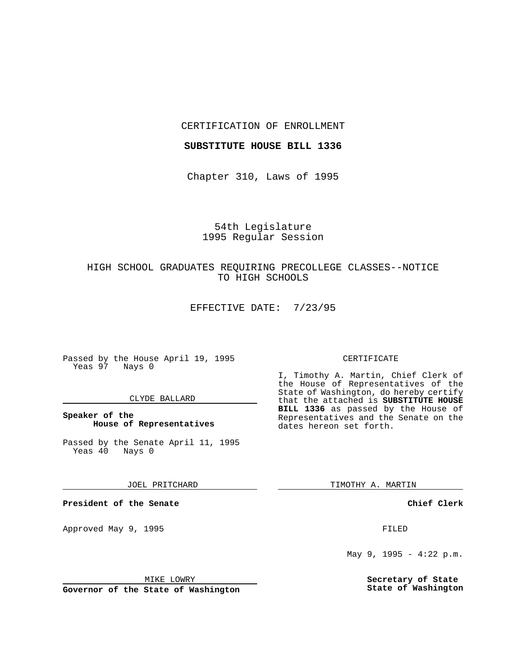### CERTIFICATION OF ENROLLMENT

#### **SUBSTITUTE HOUSE BILL 1336**

Chapter 310, Laws of 1995

# 54th Legislature 1995 Regular Session

# HIGH SCHOOL GRADUATES REQUIRING PRECOLLEGE CLASSES--NOTICE TO HIGH SCHOOLS

EFFECTIVE DATE: 7/23/95

Passed by the House April 19, 1995 Yeas 97 Nays 0

### CLYDE BALLARD

### **Speaker of the House of Representatives**

Passed by the Senate April 11, 1995<br>Yeas 40 Nays 0  $Yeas$  40

JOEL PRITCHARD

**President of the Senate**

Approved May 9, 1995 **FILED** 

### MIKE LOWRY

**Governor of the State of Washington**

#### CERTIFICATE

I, Timothy A. Martin, Chief Clerk of the House of Representatives of the State of Washington, do hereby certify that the attached is **SUBSTITUTE HOUSE BILL 1336** as passed by the House of Representatives and the Senate on the dates hereon set forth.

TIMOTHY A. MARTIN

#### **Chief Clerk**

May 9, 1995 - 4:22 p.m.

**Secretary of State State of Washington**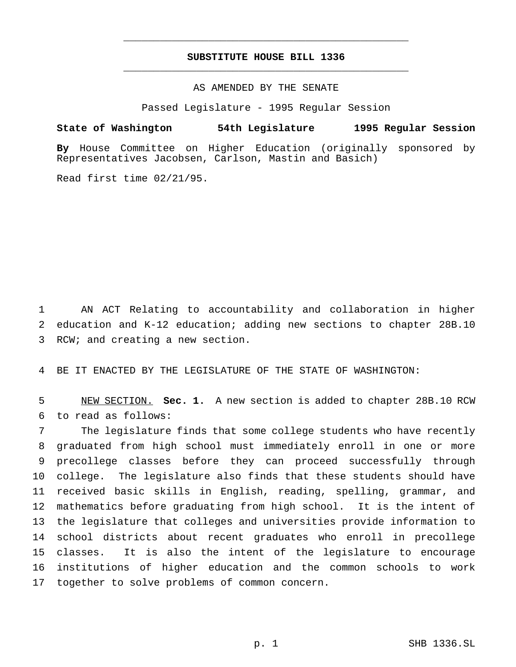# **SUBSTITUTE HOUSE BILL 1336** \_\_\_\_\_\_\_\_\_\_\_\_\_\_\_\_\_\_\_\_\_\_\_\_\_\_\_\_\_\_\_\_\_\_\_\_\_\_\_\_\_\_\_\_\_\_\_

\_\_\_\_\_\_\_\_\_\_\_\_\_\_\_\_\_\_\_\_\_\_\_\_\_\_\_\_\_\_\_\_\_\_\_\_\_\_\_\_\_\_\_\_\_\_\_

# AS AMENDED BY THE SENATE

Passed Legislature - 1995 Regular Session

#### **State of Washington 54th Legislature 1995 Regular Session**

**By** House Committee on Higher Education (originally sponsored by Representatives Jacobsen, Carlson, Mastin and Basich)

Read first time 02/21/95.

 AN ACT Relating to accountability and collaboration in higher education and K-12 education; adding new sections to chapter 28B.10 RCW; and creating a new section.

BE IT ENACTED BY THE LEGISLATURE OF THE STATE OF WASHINGTON:

 NEW SECTION. **Sec. 1.** A new section is added to chapter 28B.10 RCW to read as follows:

 The legislature finds that some college students who have recently graduated from high school must immediately enroll in one or more precollege classes before they can proceed successfully through college. The legislature also finds that these students should have received basic skills in English, reading, spelling, grammar, and mathematics before graduating from high school. It is the intent of the legislature that colleges and universities provide information to school districts about recent graduates who enroll in precollege classes. It is also the intent of the legislature to encourage institutions of higher education and the common schools to work together to solve problems of common concern.